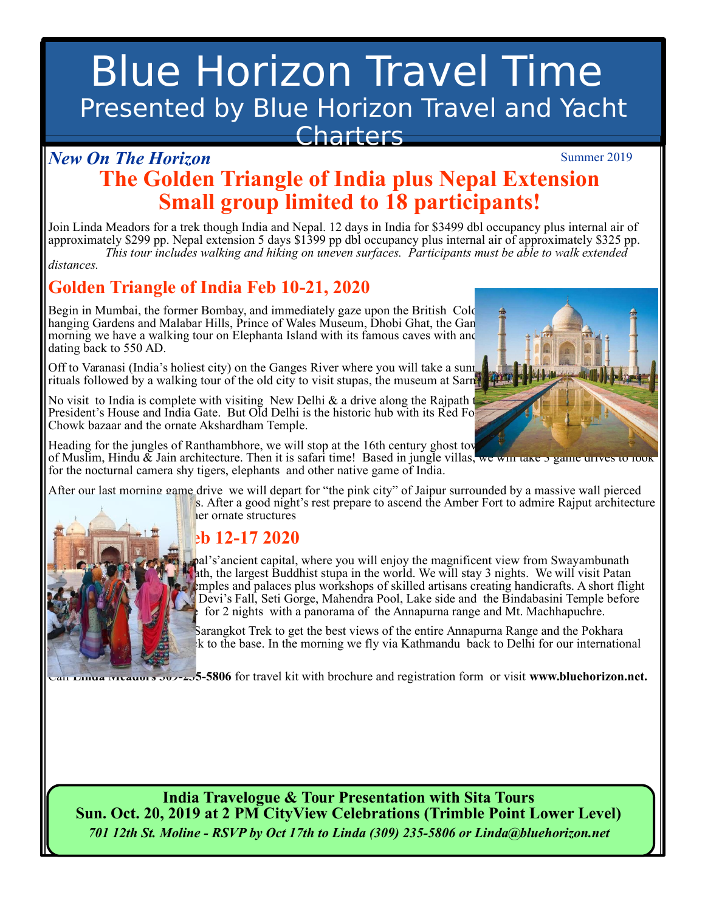# Blue Horizon Travel Time Presented by Blue Horizon Travel and Yacht **Charters**

#### **Present and Triangle of India plus Nepal Extension Small group limited to 18 participants!** Summer 2019 *New On The Horizon*

Join Linda Meadors for a trek though India and Nepal. 12 days in India for \$3499 dbl occupancy plus internal air of<br>approximately \$299 pp. Nepal extension 5 days \$1399 pp dbl occupancy plus internal air of approximately \$3 This tour includes walking and hiking on uneven surfaces. Participants must be able to walk extended distances.<br>distances. Join Linda Meadors for a trek though India and Nepal. 12 days in India for \$3499 dbl occupancy plus internal air of

*distances.* 

flight home.

### **Golden Triangle of India Feb 10-21, 2020**

Begin in Mumbai, the former Bombay, and immediately gaze upon the British Colo hanging Gardens and Malabar Hills, Prince of Wales Museum, Dhobi Ghat, the Gan morning we have a walking tour on Elephanta Island with its famous caves with and dating back to 550 AD.

Off to Varanasi (India's holiest city) on the Ganges River where you will take a sunri rituals followed by a walking tour of the old city to visit stupas, the museum at Sarn

No visit to India is complete with visiting New Delhi  $\&$  a drive along the Rajpath President's House and India Gate. But Old Delhi is the historic hub with its Red Fort, Raj Ghat and India Gate. Chowk bazaar and the ornate Akshardham Temple.

Heading for the jungles of Ranthambhore, we will stop at the 16th century ghost toy of Muslim, Hindu  $\&$  Jain architecture. Then it is safari time! Based in jungle villas, we will take 5 game driv for the nocturnal camera shy tigers, elephants and other native game of India.

After our last morning game drive we will depart for "the pink city" of Jaipur surrounded by a massive wall pierced s. After a good night's rest prepare to ascend the Amber Fort to admire Rajput architecture

ler ornate structures

### **Eb 12-17 2020**

pal's'ancient capital, where you will enjoy the magnificent view from Swayambunath ath, the largest Buddhist stupa in the world. We will stay 3 nights. We will visit Patan  $\blacktriangleright$  femples and palaces plus workshops of skilled artisans creating handicrafts. A short flight Devi's Fall, Seti Gorge, Mahendra Pool, Lake side and the Bindabasini Temple before for 2 nights with a panorama of the Annapurna range and Mt. Machhapuchre.

Sarangkot Trek to get the best views of the entire Annapurna Range and the Pokhara k to the base. In the morning we fly via Kathmandu back to Delhi for our international

Call **Linda Meadors 309-235-5806** for travel kit with brochure and registration form or visit **www.bluehorizon.net.**

**India Travelogue & Tour Presentation with Sita Tours Sun. Oct. 20, 2019 at 2 PM CityView Celebrations (Trimble Point Lower Level)**  *701 12th St. Moline - RSVP by Oct 17th to Linda (309) 235-5806 or Linda@bluehorizon.net* 

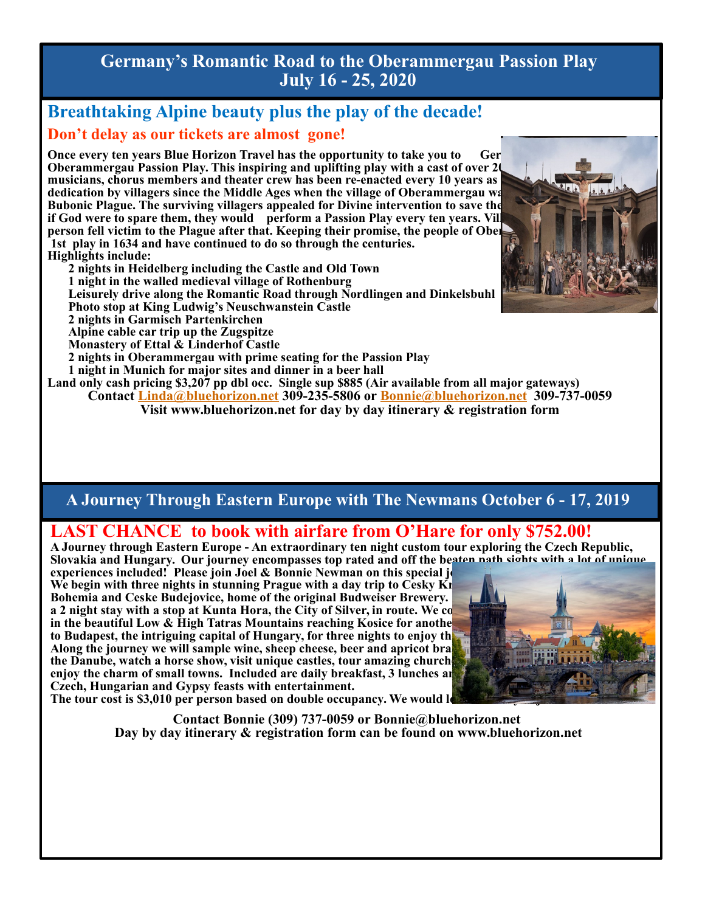**Germany's Romantic Road to the Oberammergau Passion Play July 16 - 25, 2020**

### **Breathtaking Alpine beauty plus the play of the decade! Don't delay as our tickets are almost gone!**

**Once every ten years Blue Horizon Travel has the opportunity to take you to German Oberammergau Passion Play. This inspiring and uplifting play with a cast of over 20** musicians, chorus members and theater crew has been re-enacted every 10 years as dedication by villagers since the Middle Ages when the village of Oberammergau was **Bubonic Plague. The surviving villagers appealed for Divine intervention to save the** if God were to spare them, they would perform a Passion Play every ten years. Vill **person fell victim to the Plague after that. Keeping their promise, the people of Ober 1st play in 1634 and have continued to do so through the centuries. Highlights include:** 

**2 nights in Heidelberg including the Castle and Old Town 1 night in the walled medieval village of Rothenburg Leisurely drive along the Romantic Road through Nordlingen and Dinkelsbuhl Photo stop at King Ludwig's Neuschwanstein Castle 2 nights in Garmisch Partenkirchen Alpine cable car trip up the Zugspitze Monastery of Ettal & Linderhof Castle 2 nights in Oberammergau with prime seating for the Passion Play 1 night in Munich for major sites and dinner in a beer hall Land only cash pricing \$3,207 pp dbl occ. Single sup \$885 (Air available from all major gateways)**  Contact Linda@bluehorizon.net 309-235-5806 or Bonnie@bluehorizon.net 309-737-0059

**Visit www.bluehorizon.net for day by day itinerary & registration form** 

**A Journey Through Eastern Europe with The Newmans October 6 - 17, 2019** 

### **LAST CHANCE to book with airfare from O'Hare for only \$752.00!**

**A Journey through Eastern Europe - An extraordinary ten night custom tour exploring the Czech Republic, Slovakia and Hungary. Our journey encompasses top rated and off the beaten path sights with a lot of unique** 

**experiences included! Please join Joel & Bonnie Newman on this special journal** We begin with three nights in stunning Prague with a day trip to Cesky Kr Bohemia and Ceske Budejovice, home of the original Budweiser Brewery. **a 2 night stay with a stop at Kunta Hora, the City of Silver, in route. We co** in the beautiful Low & High Tatras Mountains reaching Kosice for another to Budapest, the intriguing capital of Hungary, for three nights to enjoy the Along the journey we will sample wine, sheep cheese, beer and apricot bra the Danube, watch a horse show, visit unique castles, tour amazing church enjoy the charm of small towns. Included are daily breakfast, 3 lunches and 3 dinners in **Czech, Hungarian and Gypsy feasts with entertainment.**  The tour cost is \$3,010 per person based on double occupancy. We would lo



**Contact Bonnie (309) 737-0059 or Bonnie@bluehorizon.net Day by day itinerary & registration form can be found on www.bluehorizon.net** 

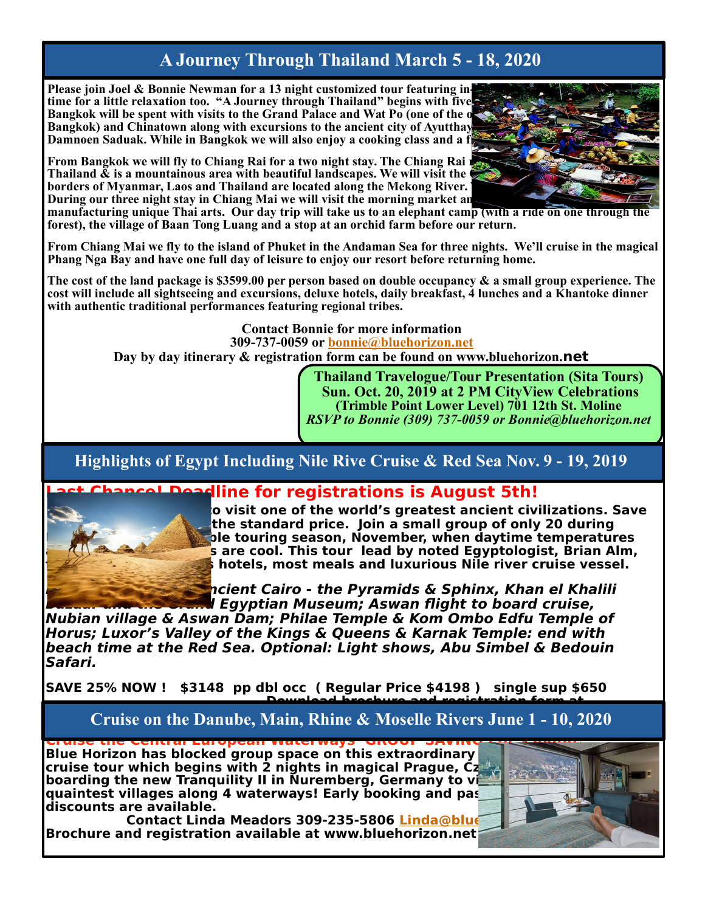### **A Journey Through Thailand March 5 - 18, 2020**

Please join Joel & Bonnie Newman for a 13 night customized tour featuring intime for a little relaxation too. "A Journey through Thailand" begins with five Bangkok will be spent with visits to the Grand Palace and Wat Po (one of the o **Bangkok) and Chinatown along with excursions to the ancient city of Ayutthay** Damnoen Saduak. While in Bangkok we will also enjoy a cooking class and a f

**From Bangkok we will fly to Chiang Rai for a two night stay. The Chiang Rai in Thailand**  $\tilde{\mathbf{x}}$  **is a mountainous area with beautiful landscapes. We will visit the borders of Myanmar, Laos and Thailand are located along the Mekong River. During our three night stay in Chiang Mai we will visit the morning market and a handicraft village X** 

**manufacturing unique Thai arts. Our day trip will take us to an elephant camp (with a ride on one through the forest), the village of Baan Tong Luang and a stop at an orchid farm before our return.** 

**From Chiang Mai we fly to the island of Phuket in the Andaman Sea for three nights. We'll cruise in the magical Phang Nga Bay and have one full day of leisure to enjoy our resort before returning home.** 

**The cost of the land package is \$3599.00 per person based on double occupancy & a small group experience. The cost will include all sightseeing and excursions, deluxe hotels, daily breakfast, 4 lunches and a Khantoke dinner with authentic traditional performances featuring regional tribes.** 

**Contact Bonnie for more information 309-737-0059 or bonnie@bluehorizon.net Day by day itinerary & registration form can be found on www.bluehorizon.net** 

> **Thailand Travelogue/Tour Presentation (Sita Tours) Sun. Oct. 20, 2019 at 2 PM CityView Celebrations (Trimble Point Lower Level) 701 12th St. Moline**  *RSVP to Bonnie (309) 737-0059 or Bonnie@bluehorizon.net*

**Highlights of Egypt Including Nile Rive Cruise & Red Sea Nov. 9 - 19, 2019** 



**Last Chance! Deadline for registrations is August 5th!** 

**<b>***<u>O* visit one of the world's greatest ancient civilizations. Save </u> the standard price. Join a small group of only 20 during **Egypt's most comfortable touring season, November, when daytime temperatures s** are cool. This tour lead by noted Egyptologist, Brian Alm, **hotels, most meals and luxurious Nile river cruise vessel.** 

**Highlights include: Ancient Cairo - the Pyramids & Sphinx, Khan el Khalili** 

**Bazaar and the Grand Egyptian Museum; Aswan flight to board cruise, Nubian village & Aswan Dam; Philae Temple & Kom Ombo Edfu Temple of Horus; Luxor's Valley of the Kings & Queens & Karnak Temple: end with beach time at the Red Sea. Optional: Light shows, Abu Simbel & Bedouin Safari.** 

**SAVE 25% NOW ! \$3148 pp dbl occ ( Regular Price \$4198 ) single sup \$650 Download brochure and registration form at** 

**Cruise on the Danube, Main, Rhine & Moselle Rivers June 1 - 10, 2020** 

**Cruise the Central European Waterways GROUP SAVINGS of \$500pp! Blue Horizon has blocked group space on this extraordinary cruise tour which begins with 2 nights in magical Prague, Czech Republic before boarding the new Tranquility II in Nuremberg, Germany to verturally quaintest villages along 4 waterways! Early booking and past Globus traveler discounts are available.** 

**Contact Linda Meadors 309-235-5806 Linda@blue Brochure and registration available at www.bluehorizon.net**